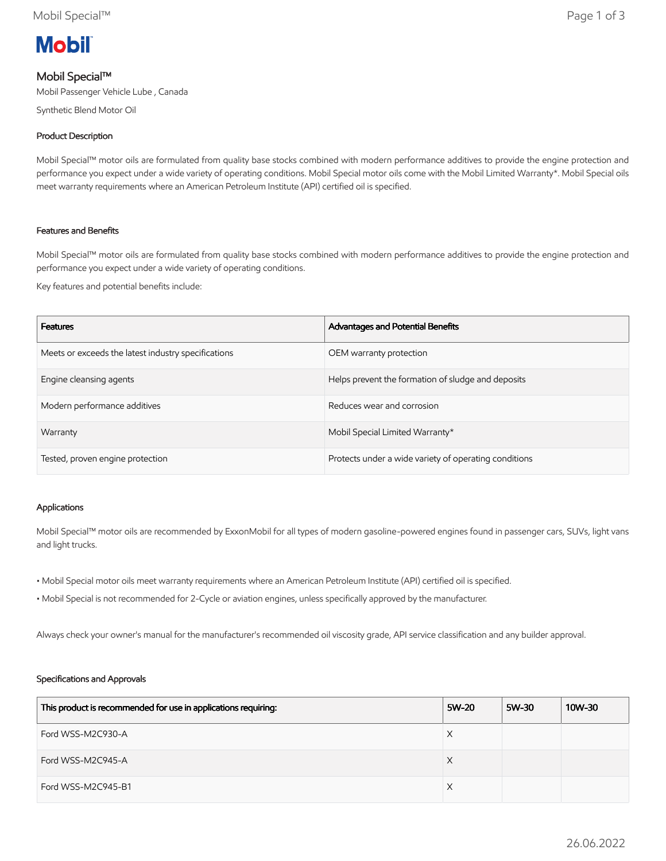

## Mobil Special™

Mobil Passenger Vehicle Lube , Canada

Synthetic Blend Motor Oil

### Product Description

Mobil Special™ motor oils are formulated from quality base stocks combined with modern performance additives to provide the engine protection and performance you expect under a wide variety of operating conditions. Mobil Special motor oils come with the Mobil Limited Warranty\*. Mobil Special oils meet warranty requirements where an American Petroleum Institute (API) certified oil is specified.

#### Features and Benefits

Mobil Special™ motor oils are formulated from quality base stocks combined with modern performance additives to provide the engine protection and performance you expect under a wide variety of operating conditions.

Key features and potential benefits include:

| <b>Features</b>                                     | Advantages and Potential Benefits                     |
|-----------------------------------------------------|-------------------------------------------------------|
| Meets or exceeds the latest industry specifications | OEM warranty protection                               |
| Engine cleansing agents                             | Helps prevent the formation of sludge and deposits    |
| Modern performance additives                        | Reduces wear and corrosion                            |
| Warranty                                            | Mobil Special Limited Warranty*                       |
| Tested, proven engine protection                    | Protects under a wide variety of operating conditions |

#### Applications

Mobil Special™ motor oils are recommended by ExxonMobil for all types of modern gasoline-powered engines found in passenger cars, SUVs, light vans and light trucks.

- Mobil Special motor oils meet warranty requirements where an American Petroleum Institute (API) certified oil is specified.
- Mobil Special is not recommended for 2-Cycle or aviation engines, unless specifically approved by the manufacturer.

Always check your owner's manual for the manufacturer's recommended oil viscosity grade, API service classification and any builder approval.

#### Specifications and Approvals

| This product is recommended for use in applications requiring: | 5W-20 | 5W-30 | 10W-30 |
|----------------------------------------------------------------|-------|-------|--------|
| Ford WSS-M2C930-A                                              | X     |       |        |
| Ford WSS-M2C945-A                                              | X     |       |        |
| Ford WSS-M2C945-B1                                             | X     |       |        |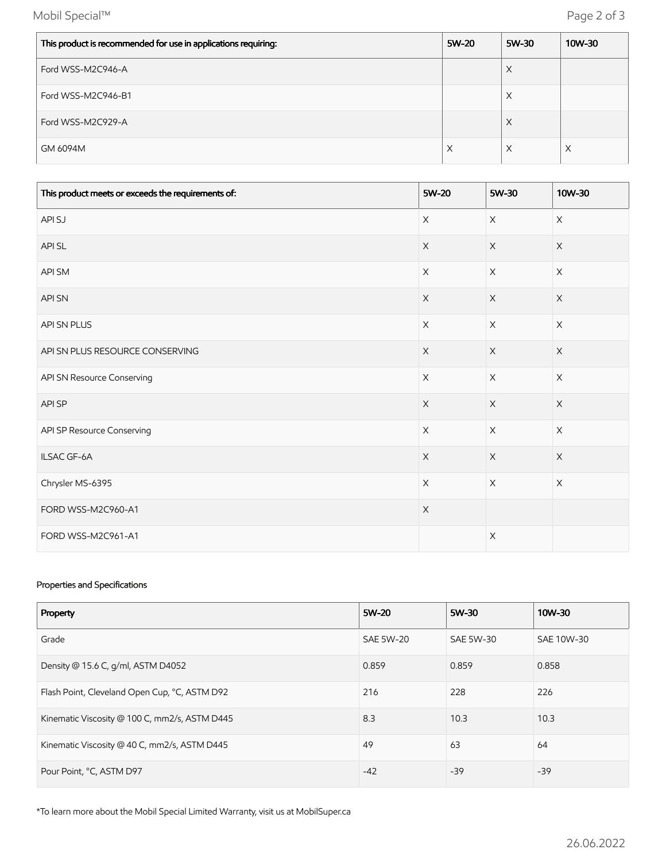Mobil Special™ Page 2 of 3

| This product is recommended for use in applications requiring: | 5W-20 | 5W-30    | 10W-30 |
|----------------------------------------------------------------|-------|----------|--------|
| Ford WSS-M2C946-A                                              |       | $\times$ |        |
| Ford WSS-M2C946-B1                                             |       | $\times$ |        |
| Ford WSS-M2C929-A                                              |       | $\times$ |        |
| GM 6094M                                                       | X     | $\times$ | X      |

| This product meets or exceeds the requirements of: | 5W-20       | 5W-30       | 10W-30      |
|----------------------------------------------------|-------------|-------------|-------------|
| API SJ                                             | $\times$    | $\times$    | $\times$    |
| API SL                                             | $\times$    | $\mathsf X$ | $\times$    |
| API SM                                             | $\mathsf X$ | $\mathsf X$ | $\mathsf X$ |
| <b>API SN</b>                                      | $\times$    | $\mathsf X$ | $\mathsf X$ |
| API SN PLUS                                        | X           | $\mathsf X$ | $\times$    |
| API SN PLUS RESOURCE CONSERVING                    | $\mathsf X$ | $\mathsf X$ | $\mathsf X$ |
| API SN Resource Conserving                         | $\mathsf X$ | $\mathsf X$ | $\mathsf X$ |
| API SP                                             | $\times$    | $\mathsf X$ | $\times$    |
| API SP Resource Conserving                         | $\mathsf X$ | $\mathsf X$ | X           |
| ILSAC GF-6A                                        | $\mathsf X$ | $\mathsf X$ | $\mathsf X$ |
| Chrysler MS-6395                                   | $\times$    | $\times$    | $\times$    |
| FORD WSS-M2C960-A1                                 | $\mathsf X$ |             |             |
| FORD WSS-M2C961-A1                                 |             | $\mathsf X$ |             |

### Properties and Specifications

| Property                                      | 5W-20            | 5W-30     | 10W-30     |
|-----------------------------------------------|------------------|-----------|------------|
| Grade                                         | <b>SAE 5W-20</b> | SAE 5W-30 | SAE 10W-30 |
| Density @ 15.6 C, g/ml, ASTM D4052            | 0.859            | 0.859     | 0.858      |
| Flash Point, Cleveland Open Cup, °C, ASTM D92 | 216              | 228       | 226        |
| Kinematic Viscosity @ 100 C, mm2/s, ASTM D445 | 8.3              | 10.3      | 10.3       |
| Kinematic Viscosity @ 40 C, mm2/s, ASTM D445  | 49               | 63        | 64         |
| Pour Point, °C, ASTM D97                      | $-42$            | $-39$     | $-39$      |

\*To learn more about the Mobil Special Limited Warranty, visit us at MobilSuper.ca